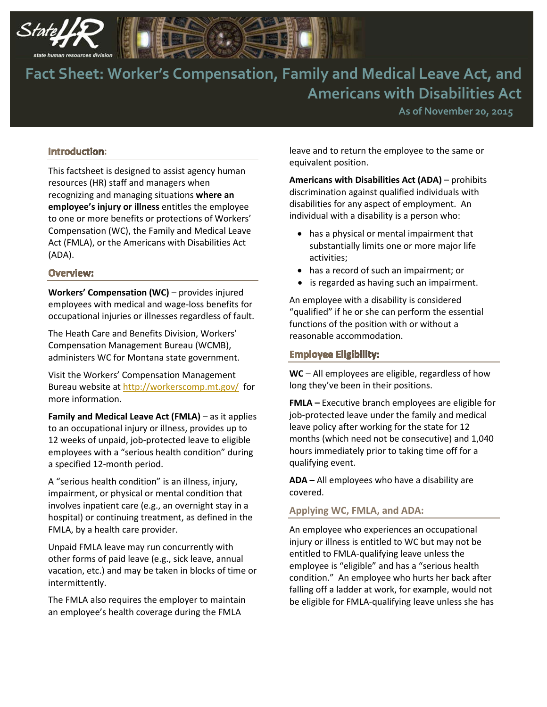



**As of November 20, 2015**

## **:**

This factsheet is designed to assist agency human resources (HR) staff and managers when recognizing and managing situations **where an employee's injury or illness** entitles the employee to one or more benefits or protections of Workers' Compensation (WC), the Family and Medical Leave Act (FMLA), or the Americans with Disabilities Act (ADA).

#### **Overview:**

**Workers' Compensation (WC)** – provides injured employees with medical and wage-loss benefits for occupational injuries or illnesses regardless of fault.

The Heath Care and Benefits Division, Workers' Compensation Management Bureau (WCMB), administers WC for Montana state government.

Visit the Workers' Compensation Management Bureau website a[t http://workerscomp.mt.gov/](http://workerscomp.mt.gov/) for more information.

**Family and Medical Leave Act (FMLA)** – as it applies to an occupational injury or illness, provides up to 12 weeks of unpaid, job-protected leave to eligible employees with a "serious health condition" during a specified 12-month period.

A "serious health condition" is an illness, injury, impairment, or physical or mental condition that involves inpatient care (e.g., an overnight stay in a hospital) or continuing treatment, as defined in the FMLA, by a health care provider.

Unpaid FMLA leave may run concurrently with other forms of paid leave (e.g., sick leave, annual vacation, etc.) and may be taken in blocks of time or intermittently.

The FMLA also requires the employer to maintain an employee's health coverage during the FMLA

leave and to return the employee to the same or equivalent position.

**Americans with Disabilities Act (ADA)** – prohibits discrimination against qualified individuals with disabilities for any aspect of employment. An individual with a disability is a person who:

- has a physical or mental impairment that substantially limits one or more major life activities;
- has a record of such an impairment; or
- is regarded as having such an impairment.

An employee with a disability is considered "qualified" if he or she can perform the essential functions of the position with or without a reasonable accommodation.

### **Employee Eligibility:**

**WC** – All employees are eligible, regardless of how long they've been in their positions.

**FMLA –** Executive branch employees are eligible for job-protected leave under the family and medical leave policy after working for the state for 12 months (which need not be consecutive) and 1,040 hours immediately prior to taking time off for a qualifying event.

**ADA –** All employees who have a disability are covered.

#### **Applying WC, FMLA, and ADA:**

An employee who experiences an occupational injury or illness is entitled to WC but may not be entitled to FMLA-qualifying leave unless the employee is "eligible" and has a "serious health condition." An employee who hurts her back after falling off a ladder at work, for example, would not be eligible for FMLA-qualifying leave unless she has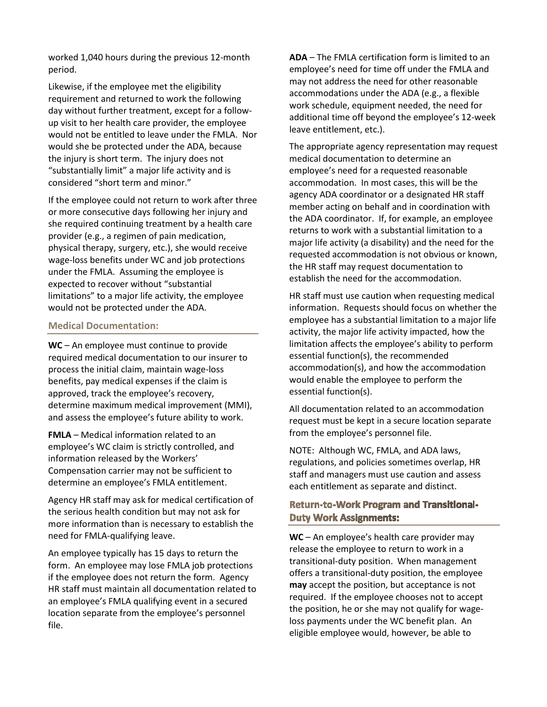worked 1,040 hours during the previous 12-month period.

Likewise, if the employee met the eligibility requirement and returned to work the following day without further treatment, except for a followup visit to her health care provider, the employee would not be entitled to leave under the FMLA. Nor would she be protected under the ADA, because the injury is short term. The injury does not "substantially limit" a major life activity and is considered "short term and minor."

If the employee could not return to work after three or more consecutive days following her injury and she required continuing treatment by a health care provider (e.g., a regimen of pain medication, physical therapy, surgery, etc.), she would receive wage-loss benefits under WC and job protections under the FMLA. Assuming the employee is expected to recover without "substantial limitations" to a major life activity, the employee would not be protected under the ADA.

# **Medical Documentation:**

**WC** – An employee must continue to provide required medical documentation to our insurer to process the initial claim, maintain wage-loss benefits, pay medical expenses if the claim is approved, track the employee's recovery, determine maximum medical improvement (MMI), and assess the employee's future ability to work.

**FMLA** – Medical information related to an employee's WC claim is strictly controlled, and information released by the Workers' Compensation carrier may not be sufficient to determine an employee's FMLA entitlement.

Agency HR staff may ask for medical certification of the serious health condition but may not ask for more information than is necessary to establish the need for FMLA-qualifying leave.

An employee typically has 15 days to return the form. An employee may lose FMLA job protections if the employee does not return the form. Agency HR staff must maintain all documentation related to an employee's FMLA qualifying event in a secured location separate from the employee's personnel file.

**ADA** – The FMLA certification form is limited to an employee's need for time off under the FMLA and may not address the need for other reasonable accommodations under the ADA (e.g., a flexible work schedule, equipment needed, the need for additional time off beyond the employee's 12-week leave entitlement, etc.).

The appropriate agency representation may request medical documentation to determine an employee's need for a requested reasonable accommodation. In most cases, this will be the agency ADA coordinator or a designated HR staff member acting on behalf and in coordination with the ADA coordinator. If, for example, an employee returns to work with a substantial limitation to a major life activity (a disability) and the need for the requested accommodation is not obvious or known, the HR staff may request documentation to establish the need for the accommodation.

HR staff must use caution when requesting medical information. Requests should focus on whether the employee has a substantial limitation to a major life activity, the major life activity impacted, how the limitation affects the employee's ability to perform essential function(s), the recommended accommodation(s), and how the accommodation would enable the employee to perform the essential function(s).

All documentation related to an accommodation request must be kept in a secure location separate from the employee's personnel file.

NOTE: Although WC, FMLA, and ADA laws, regulations, and policies sometimes overlap, HR staff and managers must use caution and assess each entitlement as separate and distinct.

# **Return-to-Work Program and Transitional-Duty Work Assignments:**

**WC** – An employee's health care provider may release the employee to return to work in a transitional-duty position. When management offers a transitional-duty position, the employee **may** accept the position, but acceptance is not required. If the employee chooses not to accept the position, he or she may not qualify for wageloss payments under the WC benefit plan. An eligible employee would, however, be able to